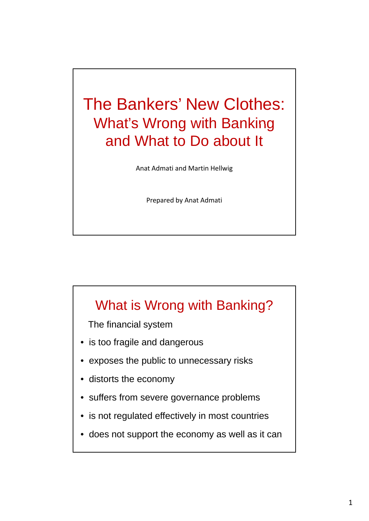# The Bankers' New Clothes: What's Wrong with Banking and What to Do about It

Anat Admati and Martin Hellwig

Prepared by Anat Admati

### What is Wrong with Banking?

The financial system

- $\bullet$  is too fragile and dangerous
- exposes the public to unnecessary risks
- distorts the economy
- suffers from severe governance problems
- is not regulated effectively in most countries
- does not support the economy as well as it can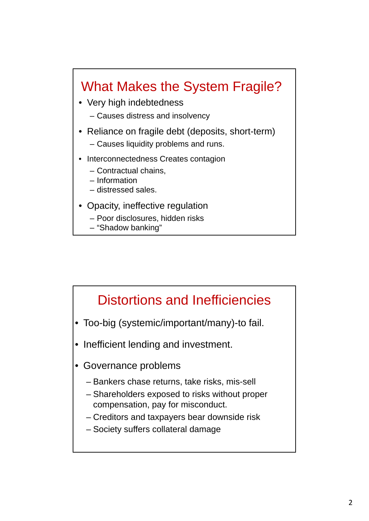### What Makes the System Fragile?

• Very high indebtedness

– Causes distress and insolvency

- Reliance on fragile debt (deposits, short-term) – Causes liquidity problems and runs.
- Interconnectedness Creates contagion
	- Contractual chains,
	- Information
	- distressed sales.
- Opacity, ineffective regulation
	- Poor disclosures, hidden risks
	- "Shadow banking"

### Distortions and Inefficiencies

- Too-big (systemic/important/many)-to fail.
- Inefficient lending and investment.
- Governance problems
	- Bankers chase returns, take risks, mis-sell
	- Shareholders exposed to risks without proper compensation, pay for misconduct.
	- Creditors and taxpayers bear downside risk
	- Society suffers collateral damage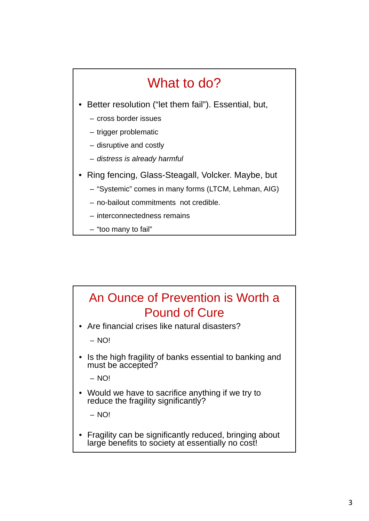# What to do?

- Better resolution ("let them fail"). Essential, but,
	- cross border issues
	- trigger problematic
	- disruptive and costly
	- *distress is already harmful*
- Ring fencing, Glass-Steagall, Volcker. Maybe, but
	- "Systemic" comes in many forms (LTCM, Lehman, AIG)
	- no-bailout commitments not credible.
	- interconnectedness remains
	- "too many to fail"

#### An Ounce of Prevention is Worth a Pound of Cure

• Are financial crises like natural disasters?

– NO!

• Is the high fragility of banks essential to banking and must be accepted?

– NO!

• Would we have to sacrifice anything if we try to reduce the fragility significantly?

– NO!

• Fragility can be significantly reduced, bringing about large benefits to society at essentially no cost!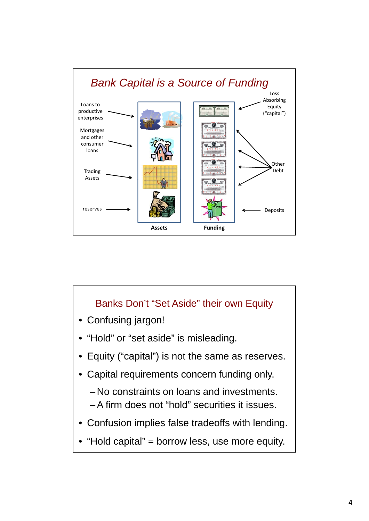

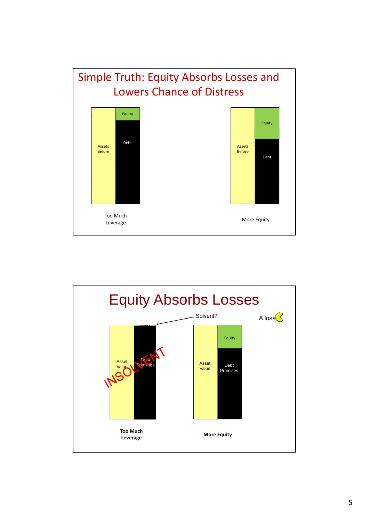

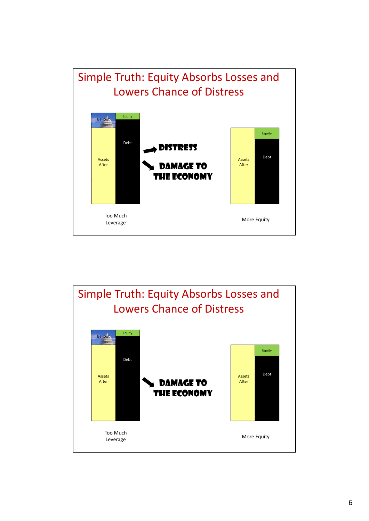

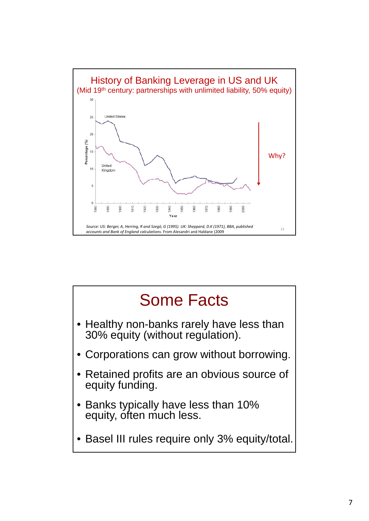

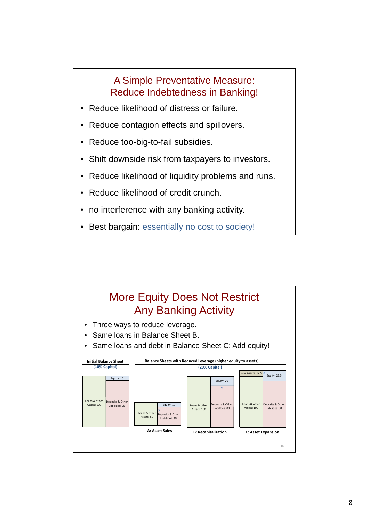#### A Simple Preventative Measure: Reduce Indebtedness in Banking!

- Reduce likelihood of distress or failure.
- Reduce contagion effects and spillovers.
- Reduce too-big-to-fail subsidies.
- Shift downside risk from taxpayers to investors.
- Reduce likelihood of liquidity problems and runs.
- Reduce likelihood of credit crunch.
- no interference with any banking activity.
- Best bargain: essentially no cost to society!

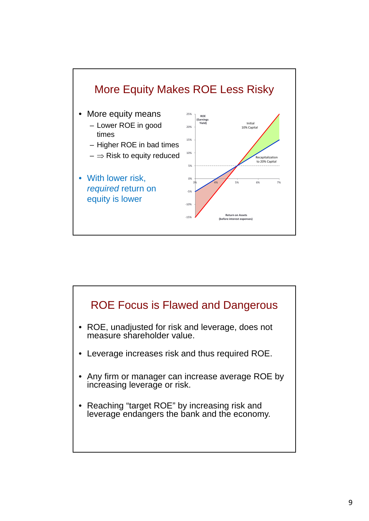

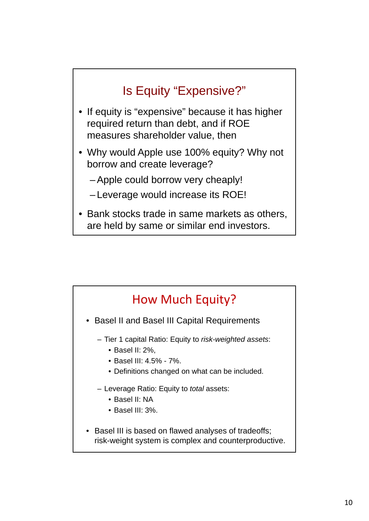### Is Equity "Expensive?"

- If equity is "expensive" because it has higher required return than debt, and if ROE measures shareholder value, then
- Why would Apple use 100% equity? Why not borrow and create leverage?
	- -Apple could borrow very cheaply!
	- Leverage would increase its ROE!
- Bank stocks trade in same markets as others, are held by same or similar end investors.

# How Much Equity?

- Basel II and Basel III Capital Requirements
	- Tier 1 capital Ratio: Equity to risk-weighted assets:
		- Basel II: 2%,
		- Basel III: 4.5% 7%.
		- Definitions changed on what can be included.
	- Leverage Ratio: Equity to *total* assets:
		- Basel II: NA
		- Basel III: 3%.
- Basel III is based on flawed analyses of tradeoffs; risk-weight system is complex and counterproductive.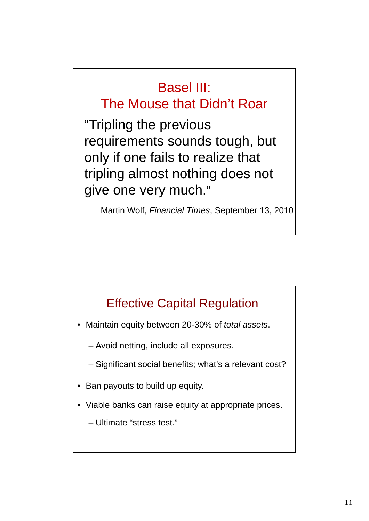# Basel III:

### The Mouse that Didn't Roar

"Tripling the previous requirements sounds tough, but only if one fails to realize that tripling almost nothing does not give one very much."

Martin Wolf, *Financial Times*, September 13, 2010

#### Effective Capital Regulation

• Maintain equity between 20-30% of *total assets*.

– Avoid netting, include all exposures.

- Significant social benefits; what's a relevant cost?
- Ban payouts to build up equity.
- Viable banks can raise equity at appropriate prices.
	- Ultimate "stress test."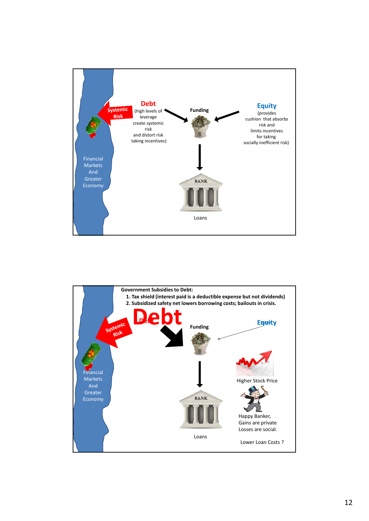

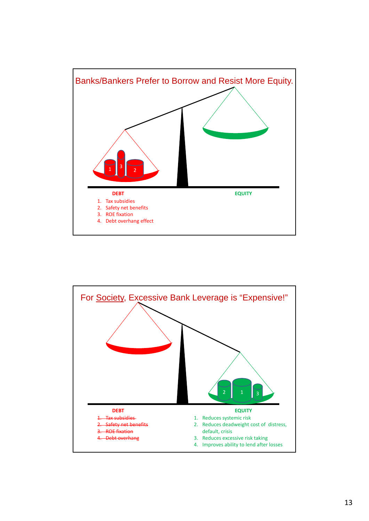

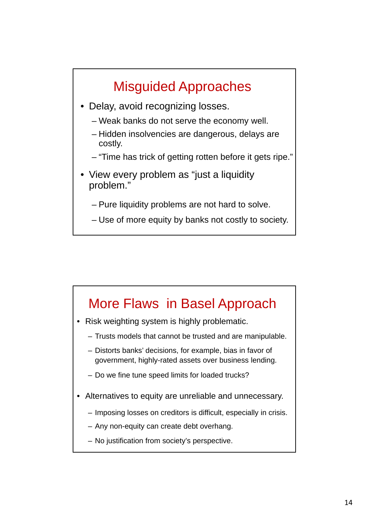# Misguided Approaches

- Delay, avoid recognizing losses.
	- Weak banks do not serve the economy well.
	- Hidden insolvencies are dangerous, delays are costly.
	- "Time has trick of getting rotten before it gets ripe."
- View every problem as "just a liquidity problem."
	- Pure liquidity problems are not hard to solve.
	- Use of more equity by banks not costly to society.

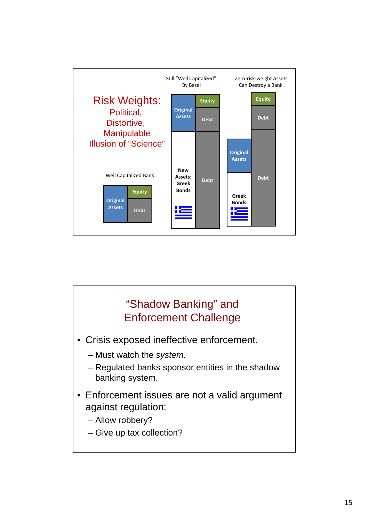

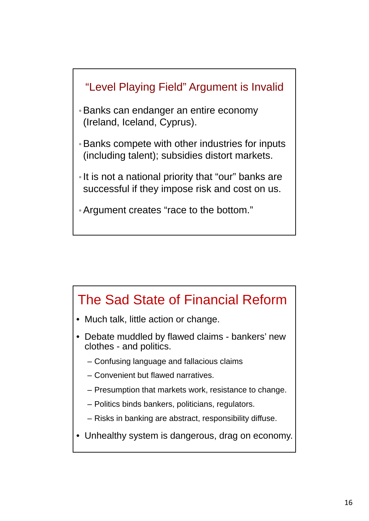



- Debate muddled by flawed claims bankers' new clothes - and politics.
	- Confusing language and fallacious claims
	- Convenient but flawed narratives.
	- Presumption that markets work, resistance to change.
	- Politics binds bankers, politicians, regulators.
	- Risks in banking are abstract, responsibility diffuse.
- Unhealthy system is dangerous, drag on economy.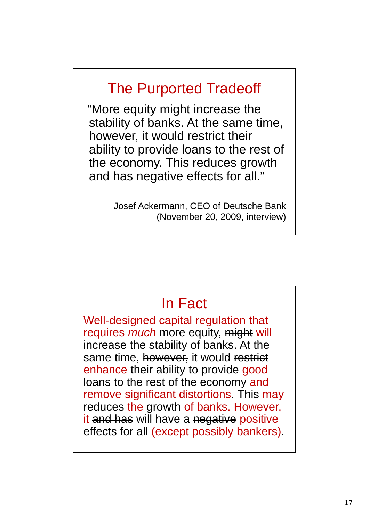# The Purported Tradeoff

"More equity might increase the stability of banks. At the same time, however, it would restrict their ability to provide loans to the rest of the economy. This reduces growth and has negative effects for all."

> Josef Ackermann, CEO of Deutsche Bank (November 20, 2009, interview)

### In Fact

Well-designed capital regulation that requires *much* more equity, might will increase the stability of banks. At the same time, however, it would restrict enhance their ability to provide good loans to the rest of the economy and remove significant distortions. This may reduces the growth of banks. However, it and has will have a negative positive effects for all (except possibly bankers).